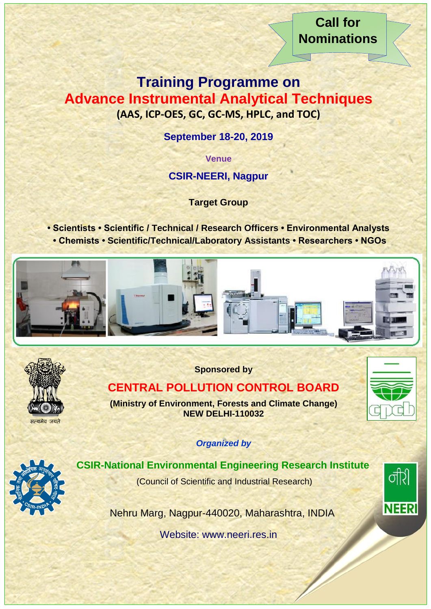**Call for Nominations**

र्नीर्

**NEERI** 

# **Training Programme on Advance Instrumental Analytical Techniques (AAS, ICP-OES, GC, GC-MS, HPLC, and TOC)**

**September 18-20, 2019** 

**Venue**

**CSIR-NEERI, Nagpur**

**Target Group**

**• Scientists • Scientific / Technical / Research Officers • Environmental Analysts • Chemists • Scientific/Technical/Laboratory Assistants • Researchers • NGOs**





**Sponsored by**

## **CENTRAL POLLUTION CONTROL BOARD**

**(Ministry of Environment, Forests and Climate Change) NEW DELHI-110032**

*Organized by*



### **CSIR-National Environmental Engineering Research Institute**

(Council of Scientific and Industrial Research)

Nehru Marg, Nagpur-440020, Maharashtra, INDIA

Website: www.neeri.res.in